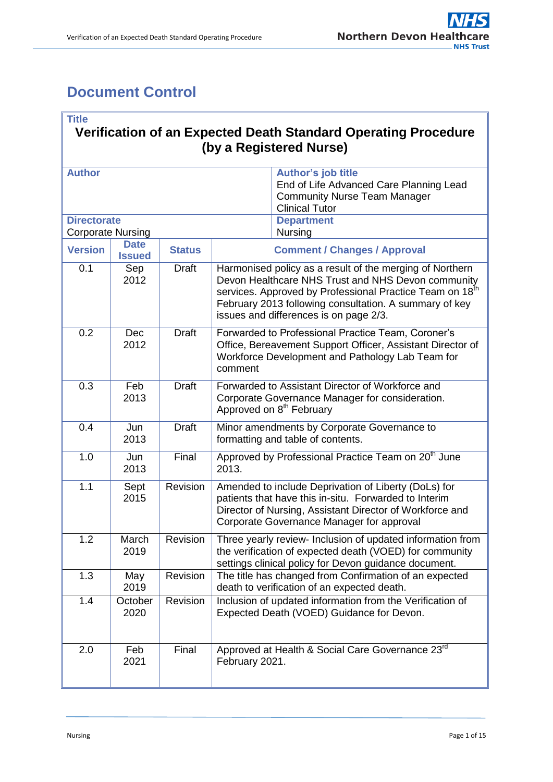÷.

# <span id="page-0-0"></span>**Document Control**

'n

| <b>Title</b><br>Verification of an Expected Death Standard Operating Procedure<br>(by a Registered Nurse) |                              |               |                                                                                                                                                                                                                                                                                |                                                                                                                                      |  |  |
|-----------------------------------------------------------------------------------------------------------|------------------------------|---------------|--------------------------------------------------------------------------------------------------------------------------------------------------------------------------------------------------------------------------------------------------------------------------------|--------------------------------------------------------------------------------------------------------------------------------------|--|--|
| <b>Author</b>                                                                                             |                              |               |                                                                                                                                                                                                                                                                                | <b>Author's job title</b><br>End of Life Advanced Care Planning Lead<br><b>Community Nurse Team Manager</b><br><b>Clinical Tutor</b> |  |  |
| <b>Directorate</b><br><b>Corporate Nursing</b>                                                            |                              |               |                                                                                                                                                                                                                                                                                | <b>Department</b><br>Nursing                                                                                                         |  |  |
| <b>Version</b>                                                                                            | <b>Date</b><br><b>Issued</b> | <b>Status</b> | <b>Comment / Changes / Approval</b>                                                                                                                                                                                                                                            |                                                                                                                                      |  |  |
| 0.1                                                                                                       | Sep<br>2012                  | <b>Draft</b>  | Harmonised policy as a result of the merging of Northern<br>Devon Healthcare NHS Trust and NHS Devon community<br>services. Approved by Professional Practice Team on 18th<br>February 2013 following consultation. A summary of key<br>issues and differences is on page 2/3. |                                                                                                                                      |  |  |
| 0.2                                                                                                       | <b>Dec</b><br>2012           | <b>Draft</b>  | Forwarded to Professional Practice Team, Coroner's<br>Office, Bereavement Support Officer, Assistant Director of<br>Workforce Development and Pathology Lab Team for<br>comment                                                                                                |                                                                                                                                      |  |  |
| 0.3                                                                                                       | Feb<br>2013                  | <b>Draft</b>  | Forwarded to Assistant Director of Workforce and<br>Corporate Governance Manager for consideration.<br>Approved on 8 <sup>th</sup> February                                                                                                                                    |                                                                                                                                      |  |  |
| 0.4                                                                                                       | Jun<br>2013                  | <b>Draft</b>  | Minor amendments by Corporate Governance to<br>formatting and table of contents.                                                                                                                                                                                               |                                                                                                                                      |  |  |
| 1.0                                                                                                       | Jun<br>2013                  | Final         | Approved by Professional Practice Team on 20 <sup>th</sup> June<br>2013.                                                                                                                                                                                                       |                                                                                                                                      |  |  |
| 1.1                                                                                                       | Sept<br>2015                 | Revision      | Amended to include Deprivation of Liberty (DoLs) for<br>patients that have this in-situ. Forwarded to Interim<br>Director of Nursing, Assistant Director of Workforce and<br>Corporate Governance Manager for approval                                                         |                                                                                                                                      |  |  |
| 1.2                                                                                                       | March<br>2019                | Revision      | Three yearly review- Inclusion of updated information from<br>the verification of expected death (VOED) for community<br>settings clinical policy for Devon guidance document.                                                                                                 |                                                                                                                                      |  |  |
| 1.3                                                                                                       | May<br>2019                  | Revision      | The title has changed from Confirmation of an expected<br>death to verification of an expected death.                                                                                                                                                                          |                                                                                                                                      |  |  |
| 1.4                                                                                                       | October<br>2020              | Revision      | Inclusion of updated information from the Verification of<br>Expected Death (VOED) Guidance for Devon.                                                                                                                                                                         |                                                                                                                                      |  |  |
| 2.0                                                                                                       | Feb<br>2021                  | Final         | Approved at Health & Social Care Governance 23rd<br>February 2021.                                                                                                                                                                                                             |                                                                                                                                      |  |  |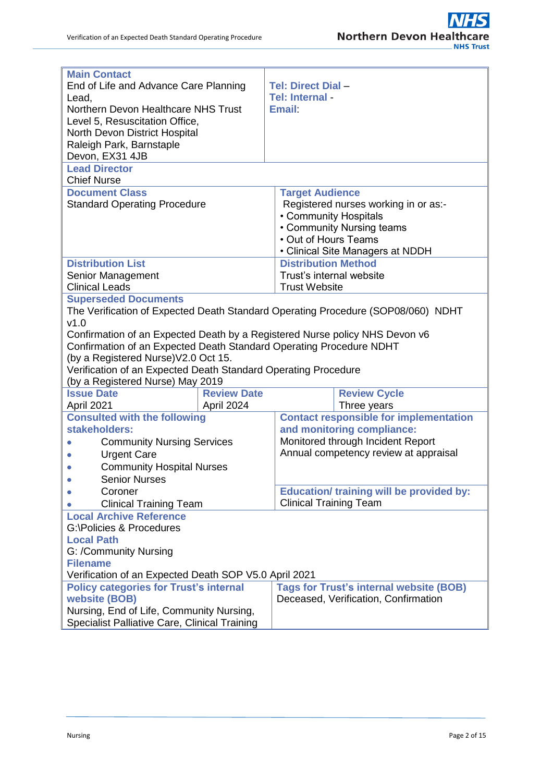| <b>Main Contact</b><br><b>Tel: Direct Dial -</b><br>End of Life and Advance Care Planning<br>Tel: Internal -<br>Lead,<br>Northern Devon Healthcare NHS Trust<br><b>Email</b><br>Level 5, Resuscitation Office,<br>North Devon District Hospital<br>Raleigh Park, Barnstaple<br>Devon, EX31 4JB<br><b>Lead Director</b><br><b>Chief Nurse</b><br><b>Document Class</b><br><b>Target Audience</b><br>Registered nurses working in or as:-<br><b>Standard Operating Procedure</b><br>• Community Hospitals<br>• Community Nursing teams<br>• Out of Hours Teams<br>• Clinical Site Managers at NDDH<br><b>Distribution List</b><br><b>Distribution Method</b><br>Senior Management<br>Trust's internal website<br><b>Clinical Leads</b><br><b>Trust Website</b><br><b>Superseded Documents</b><br>The Verification of Expected Death Standard Operating Procedure (SOP08/060) NDHT<br>v1.0<br>Confirmation of an Expected Death by a Registered Nurse policy NHS Devon v6<br>Confirmation of an Expected Death Standard Operating Procedure NDHT<br>(by a Registered Nurse) V2.0 Oct 15.<br>Verification of an Expected Death Standard Operating Procedure<br>(by a Registered Nurse) May 2019<br><b>Review Date</b><br><b>Issue Date</b><br><b>Review Cycle</b><br>April 2021<br>Three years<br>April 2024<br><b>Contact responsible for implementation</b><br><b>Consulted with the following</b><br>and monitoring compliance:<br>stakeholders:<br>Monitored through Incident Report<br><b>Community Nursing Services</b><br>Annual competency review at appraisal<br><b>Urgent Care</b><br><b>Community Hospital Nurses</b><br><b>Senior Nurses</b><br><b>Education/ training will be provided by:</b><br>Coroner<br><b>Clinical Training Team</b><br><b>Clinical Training Team</b><br><b>Local Archive Reference</b><br>G:\Policies & Procedures<br><b>Local Path</b><br>G: /Community Nursing<br><b>Filename</b><br>Verification of an Expected Death SOP V5.0 April 2021<br><b>Tags for Trust's internal website (BOB)</b><br><b>Policy categories for Trust's internal</b><br>website (BOB)<br>Deceased, Verification, Confirmation<br>Nursing, End of Life, Community Nursing, |  |  |  |  |  |
|--------------------------------------------------------------------------------------------------------------------------------------------------------------------------------------------------------------------------------------------------------------------------------------------------------------------------------------------------------------------------------------------------------------------------------------------------------------------------------------------------------------------------------------------------------------------------------------------------------------------------------------------------------------------------------------------------------------------------------------------------------------------------------------------------------------------------------------------------------------------------------------------------------------------------------------------------------------------------------------------------------------------------------------------------------------------------------------------------------------------------------------------------------------------------------------------------------------------------------------------------------------------------------------------------------------------------------------------------------------------------------------------------------------------------------------------------------------------------------------------------------------------------------------------------------------------------------------------------------------------------------------------------------------------------------------------------------------------------------------------------------------------------------------------------------------------------------------------------------------------------------------------------------------------------------------------------------------------------------------------------------------------------------------------------------------------------------------------------------------------------------------------------------------------------------------|--|--|--|--|--|
|                                                                                                                                                                                                                                                                                                                                                                                                                                                                                                                                                                                                                                                                                                                                                                                                                                                                                                                                                                                                                                                                                                                                                                                                                                                                                                                                                                                                                                                                                                                                                                                                                                                                                                                                                                                                                                                                                                                                                                                                                                                                                                                                                                                      |  |  |  |  |  |
|                                                                                                                                                                                                                                                                                                                                                                                                                                                                                                                                                                                                                                                                                                                                                                                                                                                                                                                                                                                                                                                                                                                                                                                                                                                                                                                                                                                                                                                                                                                                                                                                                                                                                                                                                                                                                                                                                                                                                                                                                                                                                                                                                                                      |  |  |  |  |  |
|                                                                                                                                                                                                                                                                                                                                                                                                                                                                                                                                                                                                                                                                                                                                                                                                                                                                                                                                                                                                                                                                                                                                                                                                                                                                                                                                                                                                                                                                                                                                                                                                                                                                                                                                                                                                                                                                                                                                                                                                                                                                                                                                                                                      |  |  |  |  |  |
|                                                                                                                                                                                                                                                                                                                                                                                                                                                                                                                                                                                                                                                                                                                                                                                                                                                                                                                                                                                                                                                                                                                                                                                                                                                                                                                                                                                                                                                                                                                                                                                                                                                                                                                                                                                                                                                                                                                                                                                                                                                                                                                                                                                      |  |  |  |  |  |
|                                                                                                                                                                                                                                                                                                                                                                                                                                                                                                                                                                                                                                                                                                                                                                                                                                                                                                                                                                                                                                                                                                                                                                                                                                                                                                                                                                                                                                                                                                                                                                                                                                                                                                                                                                                                                                                                                                                                                                                                                                                                                                                                                                                      |  |  |  |  |  |
|                                                                                                                                                                                                                                                                                                                                                                                                                                                                                                                                                                                                                                                                                                                                                                                                                                                                                                                                                                                                                                                                                                                                                                                                                                                                                                                                                                                                                                                                                                                                                                                                                                                                                                                                                                                                                                                                                                                                                                                                                                                                                                                                                                                      |  |  |  |  |  |
|                                                                                                                                                                                                                                                                                                                                                                                                                                                                                                                                                                                                                                                                                                                                                                                                                                                                                                                                                                                                                                                                                                                                                                                                                                                                                                                                                                                                                                                                                                                                                                                                                                                                                                                                                                                                                                                                                                                                                                                                                                                                                                                                                                                      |  |  |  |  |  |
|                                                                                                                                                                                                                                                                                                                                                                                                                                                                                                                                                                                                                                                                                                                                                                                                                                                                                                                                                                                                                                                                                                                                                                                                                                                                                                                                                                                                                                                                                                                                                                                                                                                                                                                                                                                                                                                                                                                                                                                                                                                                                                                                                                                      |  |  |  |  |  |
|                                                                                                                                                                                                                                                                                                                                                                                                                                                                                                                                                                                                                                                                                                                                                                                                                                                                                                                                                                                                                                                                                                                                                                                                                                                                                                                                                                                                                                                                                                                                                                                                                                                                                                                                                                                                                                                                                                                                                                                                                                                                                                                                                                                      |  |  |  |  |  |
|                                                                                                                                                                                                                                                                                                                                                                                                                                                                                                                                                                                                                                                                                                                                                                                                                                                                                                                                                                                                                                                                                                                                                                                                                                                                                                                                                                                                                                                                                                                                                                                                                                                                                                                                                                                                                                                                                                                                                                                                                                                                                                                                                                                      |  |  |  |  |  |
|                                                                                                                                                                                                                                                                                                                                                                                                                                                                                                                                                                                                                                                                                                                                                                                                                                                                                                                                                                                                                                                                                                                                                                                                                                                                                                                                                                                                                                                                                                                                                                                                                                                                                                                                                                                                                                                                                                                                                                                                                                                                                                                                                                                      |  |  |  |  |  |
|                                                                                                                                                                                                                                                                                                                                                                                                                                                                                                                                                                                                                                                                                                                                                                                                                                                                                                                                                                                                                                                                                                                                                                                                                                                                                                                                                                                                                                                                                                                                                                                                                                                                                                                                                                                                                                                                                                                                                                                                                                                                                                                                                                                      |  |  |  |  |  |
|                                                                                                                                                                                                                                                                                                                                                                                                                                                                                                                                                                                                                                                                                                                                                                                                                                                                                                                                                                                                                                                                                                                                                                                                                                                                                                                                                                                                                                                                                                                                                                                                                                                                                                                                                                                                                                                                                                                                                                                                                                                                                                                                                                                      |  |  |  |  |  |
|                                                                                                                                                                                                                                                                                                                                                                                                                                                                                                                                                                                                                                                                                                                                                                                                                                                                                                                                                                                                                                                                                                                                                                                                                                                                                                                                                                                                                                                                                                                                                                                                                                                                                                                                                                                                                                                                                                                                                                                                                                                                                                                                                                                      |  |  |  |  |  |
|                                                                                                                                                                                                                                                                                                                                                                                                                                                                                                                                                                                                                                                                                                                                                                                                                                                                                                                                                                                                                                                                                                                                                                                                                                                                                                                                                                                                                                                                                                                                                                                                                                                                                                                                                                                                                                                                                                                                                                                                                                                                                                                                                                                      |  |  |  |  |  |
|                                                                                                                                                                                                                                                                                                                                                                                                                                                                                                                                                                                                                                                                                                                                                                                                                                                                                                                                                                                                                                                                                                                                                                                                                                                                                                                                                                                                                                                                                                                                                                                                                                                                                                                                                                                                                                                                                                                                                                                                                                                                                                                                                                                      |  |  |  |  |  |
|                                                                                                                                                                                                                                                                                                                                                                                                                                                                                                                                                                                                                                                                                                                                                                                                                                                                                                                                                                                                                                                                                                                                                                                                                                                                                                                                                                                                                                                                                                                                                                                                                                                                                                                                                                                                                                                                                                                                                                                                                                                                                                                                                                                      |  |  |  |  |  |
|                                                                                                                                                                                                                                                                                                                                                                                                                                                                                                                                                                                                                                                                                                                                                                                                                                                                                                                                                                                                                                                                                                                                                                                                                                                                                                                                                                                                                                                                                                                                                                                                                                                                                                                                                                                                                                                                                                                                                                                                                                                                                                                                                                                      |  |  |  |  |  |
|                                                                                                                                                                                                                                                                                                                                                                                                                                                                                                                                                                                                                                                                                                                                                                                                                                                                                                                                                                                                                                                                                                                                                                                                                                                                                                                                                                                                                                                                                                                                                                                                                                                                                                                                                                                                                                                                                                                                                                                                                                                                                                                                                                                      |  |  |  |  |  |
|                                                                                                                                                                                                                                                                                                                                                                                                                                                                                                                                                                                                                                                                                                                                                                                                                                                                                                                                                                                                                                                                                                                                                                                                                                                                                                                                                                                                                                                                                                                                                                                                                                                                                                                                                                                                                                                                                                                                                                                                                                                                                                                                                                                      |  |  |  |  |  |
|                                                                                                                                                                                                                                                                                                                                                                                                                                                                                                                                                                                                                                                                                                                                                                                                                                                                                                                                                                                                                                                                                                                                                                                                                                                                                                                                                                                                                                                                                                                                                                                                                                                                                                                                                                                                                                                                                                                                                                                                                                                                                                                                                                                      |  |  |  |  |  |
|                                                                                                                                                                                                                                                                                                                                                                                                                                                                                                                                                                                                                                                                                                                                                                                                                                                                                                                                                                                                                                                                                                                                                                                                                                                                                                                                                                                                                                                                                                                                                                                                                                                                                                                                                                                                                                                                                                                                                                                                                                                                                                                                                                                      |  |  |  |  |  |
|                                                                                                                                                                                                                                                                                                                                                                                                                                                                                                                                                                                                                                                                                                                                                                                                                                                                                                                                                                                                                                                                                                                                                                                                                                                                                                                                                                                                                                                                                                                                                                                                                                                                                                                                                                                                                                                                                                                                                                                                                                                                                                                                                                                      |  |  |  |  |  |
|                                                                                                                                                                                                                                                                                                                                                                                                                                                                                                                                                                                                                                                                                                                                                                                                                                                                                                                                                                                                                                                                                                                                                                                                                                                                                                                                                                                                                                                                                                                                                                                                                                                                                                                                                                                                                                                                                                                                                                                                                                                                                                                                                                                      |  |  |  |  |  |
|                                                                                                                                                                                                                                                                                                                                                                                                                                                                                                                                                                                                                                                                                                                                                                                                                                                                                                                                                                                                                                                                                                                                                                                                                                                                                                                                                                                                                                                                                                                                                                                                                                                                                                                                                                                                                                                                                                                                                                                                                                                                                                                                                                                      |  |  |  |  |  |
|                                                                                                                                                                                                                                                                                                                                                                                                                                                                                                                                                                                                                                                                                                                                                                                                                                                                                                                                                                                                                                                                                                                                                                                                                                                                                                                                                                                                                                                                                                                                                                                                                                                                                                                                                                                                                                                                                                                                                                                                                                                                                                                                                                                      |  |  |  |  |  |
|                                                                                                                                                                                                                                                                                                                                                                                                                                                                                                                                                                                                                                                                                                                                                                                                                                                                                                                                                                                                                                                                                                                                                                                                                                                                                                                                                                                                                                                                                                                                                                                                                                                                                                                                                                                                                                                                                                                                                                                                                                                                                                                                                                                      |  |  |  |  |  |
|                                                                                                                                                                                                                                                                                                                                                                                                                                                                                                                                                                                                                                                                                                                                                                                                                                                                                                                                                                                                                                                                                                                                                                                                                                                                                                                                                                                                                                                                                                                                                                                                                                                                                                                                                                                                                                                                                                                                                                                                                                                                                                                                                                                      |  |  |  |  |  |
|                                                                                                                                                                                                                                                                                                                                                                                                                                                                                                                                                                                                                                                                                                                                                                                                                                                                                                                                                                                                                                                                                                                                                                                                                                                                                                                                                                                                                                                                                                                                                                                                                                                                                                                                                                                                                                                                                                                                                                                                                                                                                                                                                                                      |  |  |  |  |  |
|                                                                                                                                                                                                                                                                                                                                                                                                                                                                                                                                                                                                                                                                                                                                                                                                                                                                                                                                                                                                                                                                                                                                                                                                                                                                                                                                                                                                                                                                                                                                                                                                                                                                                                                                                                                                                                                                                                                                                                                                                                                                                                                                                                                      |  |  |  |  |  |
|                                                                                                                                                                                                                                                                                                                                                                                                                                                                                                                                                                                                                                                                                                                                                                                                                                                                                                                                                                                                                                                                                                                                                                                                                                                                                                                                                                                                                                                                                                                                                                                                                                                                                                                                                                                                                                                                                                                                                                                                                                                                                                                                                                                      |  |  |  |  |  |
|                                                                                                                                                                                                                                                                                                                                                                                                                                                                                                                                                                                                                                                                                                                                                                                                                                                                                                                                                                                                                                                                                                                                                                                                                                                                                                                                                                                                                                                                                                                                                                                                                                                                                                                                                                                                                                                                                                                                                                                                                                                                                                                                                                                      |  |  |  |  |  |
|                                                                                                                                                                                                                                                                                                                                                                                                                                                                                                                                                                                                                                                                                                                                                                                                                                                                                                                                                                                                                                                                                                                                                                                                                                                                                                                                                                                                                                                                                                                                                                                                                                                                                                                                                                                                                                                                                                                                                                                                                                                                                                                                                                                      |  |  |  |  |  |
|                                                                                                                                                                                                                                                                                                                                                                                                                                                                                                                                                                                                                                                                                                                                                                                                                                                                                                                                                                                                                                                                                                                                                                                                                                                                                                                                                                                                                                                                                                                                                                                                                                                                                                                                                                                                                                                                                                                                                                                                                                                                                                                                                                                      |  |  |  |  |  |
|                                                                                                                                                                                                                                                                                                                                                                                                                                                                                                                                                                                                                                                                                                                                                                                                                                                                                                                                                                                                                                                                                                                                                                                                                                                                                                                                                                                                                                                                                                                                                                                                                                                                                                                                                                                                                                                                                                                                                                                                                                                                                                                                                                                      |  |  |  |  |  |
|                                                                                                                                                                                                                                                                                                                                                                                                                                                                                                                                                                                                                                                                                                                                                                                                                                                                                                                                                                                                                                                                                                                                                                                                                                                                                                                                                                                                                                                                                                                                                                                                                                                                                                                                                                                                                                                                                                                                                                                                                                                                                                                                                                                      |  |  |  |  |  |
|                                                                                                                                                                                                                                                                                                                                                                                                                                                                                                                                                                                                                                                                                                                                                                                                                                                                                                                                                                                                                                                                                                                                                                                                                                                                                                                                                                                                                                                                                                                                                                                                                                                                                                                                                                                                                                                                                                                                                                                                                                                                                                                                                                                      |  |  |  |  |  |
|                                                                                                                                                                                                                                                                                                                                                                                                                                                                                                                                                                                                                                                                                                                                                                                                                                                                                                                                                                                                                                                                                                                                                                                                                                                                                                                                                                                                                                                                                                                                                                                                                                                                                                                                                                                                                                                                                                                                                                                                                                                                                                                                                                                      |  |  |  |  |  |
|                                                                                                                                                                                                                                                                                                                                                                                                                                                                                                                                                                                                                                                                                                                                                                                                                                                                                                                                                                                                                                                                                                                                                                                                                                                                                                                                                                                                                                                                                                                                                                                                                                                                                                                                                                                                                                                                                                                                                                                                                                                                                                                                                                                      |  |  |  |  |  |
|                                                                                                                                                                                                                                                                                                                                                                                                                                                                                                                                                                                                                                                                                                                                                                                                                                                                                                                                                                                                                                                                                                                                                                                                                                                                                                                                                                                                                                                                                                                                                                                                                                                                                                                                                                                                                                                                                                                                                                                                                                                                                                                                                                                      |  |  |  |  |  |
|                                                                                                                                                                                                                                                                                                                                                                                                                                                                                                                                                                                                                                                                                                                                                                                                                                                                                                                                                                                                                                                                                                                                                                                                                                                                                                                                                                                                                                                                                                                                                                                                                                                                                                                                                                                                                                                                                                                                                                                                                                                                                                                                                                                      |  |  |  |  |  |
|                                                                                                                                                                                                                                                                                                                                                                                                                                                                                                                                                                                                                                                                                                                                                                                                                                                                                                                                                                                                                                                                                                                                                                                                                                                                                                                                                                                                                                                                                                                                                                                                                                                                                                                                                                                                                                                                                                                                                                                                                                                                                                                                                                                      |  |  |  |  |  |
|                                                                                                                                                                                                                                                                                                                                                                                                                                                                                                                                                                                                                                                                                                                                                                                                                                                                                                                                                                                                                                                                                                                                                                                                                                                                                                                                                                                                                                                                                                                                                                                                                                                                                                                                                                                                                                                                                                                                                                                                                                                                                                                                                                                      |  |  |  |  |  |
|                                                                                                                                                                                                                                                                                                                                                                                                                                                                                                                                                                                                                                                                                                                                                                                                                                                                                                                                                                                                                                                                                                                                                                                                                                                                                                                                                                                                                                                                                                                                                                                                                                                                                                                                                                                                                                                                                                                                                                                                                                                                                                                                                                                      |  |  |  |  |  |
|                                                                                                                                                                                                                                                                                                                                                                                                                                                                                                                                                                                                                                                                                                                                                                                                                                                                                                                                                                                                                                                                                                                                                                                                                                                                                                                                                                                                                                                                                                                                                                                                                                                                                                                                                                                                                                                                                                                                                                                                                                                                                                                                                                                      |  |  |  |  |  |
|                                                                                                                                                                                                                                                                                                                                                                                                                                                                                                                                                                                                                                                                                                                                                                                                                                                                                                                                                                                                                                                                                                                                                                                                                                                                                                                                                                                                                                                                                                                                                                                                                                                                                                                                                                                                                                                                                                                                                                                                                                                                                                                                                                                      |  |  |  |  |  |
| Specialist Palliative Care, Clinical Training                                                                                                                                                                                                                                                                                                                                                                                                                                                                                                                                                                                                                                                                                                                                                                                                                                                                                                                                                                                                                                                                                                                                                                                                                                                                                                                                                                                                                                                                                                                                                                                                                                                                                                                                                                                                                                                                                                                                                                                                                                                                                                                                        |  |  |  |  |  |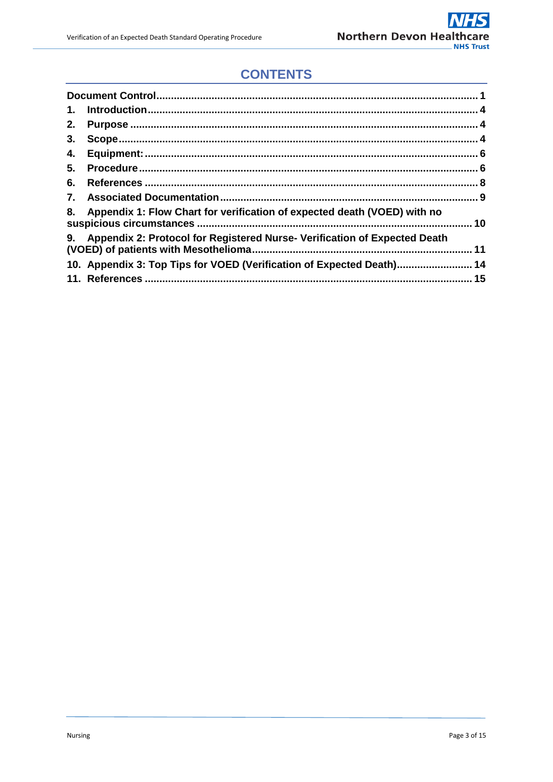# **CONTENTS**

| 1. |                                                                           |  |
|----|---------------------------------------------------------------------------|--|
| 2. |                                                                           |  |
| 3. |                                                                           |  |
| 4. |                                                                           |  |
| 5. |                                                                           |  |
| 6. |                                                                           |  |
| 7. |                                                                           |  |
| 8. | Appendix 1: Flow Chart for verification of expected death (VOED) with no  |  |
| 9. | Appendix 2: Protocol for Registered Nurse- Verification of Expected Death |  |
|    | 14. Appendix 3: Top Tips for VOED (Verification of Expected Death) 14     |  |
|    |                                                                           |  |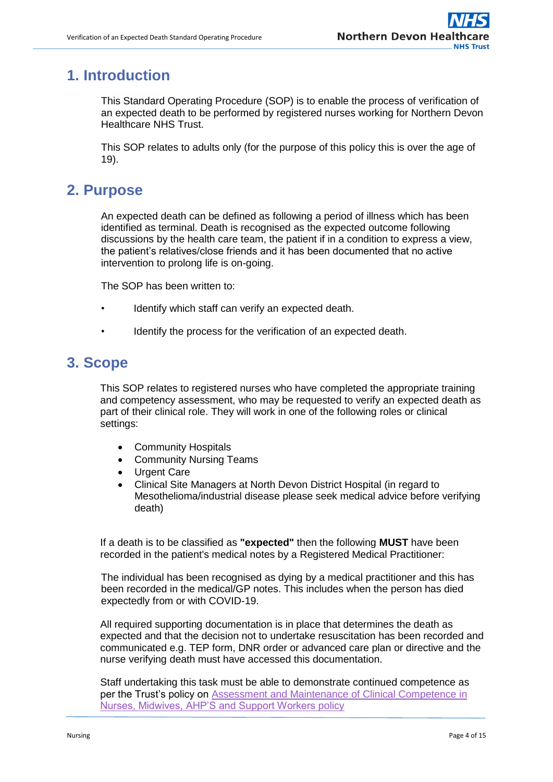# <span id="page-3-0"></span>**1. Introduction**

This Standard Operating Procedure (SOP) is to enable the process of verification of an expected death to be performed by registered nurses working for Northern Devon Healthcare NHS Trust.

This SOP relates to adults only (for the purpose of this policy this is over the age of 19).

# <span id="page-3-1"></span>**2. Purpose**

An expected death can be defined as following a period of illness which has been identified as terminal. Death is recognised as the expected outcome following discussions by the health care team, the patient if in a condition to express a view, the patient's relatives/close friends and it has been documented that no active intervention to prolong life is on-going.

The SOP has been written to:

- Identify which staff can verify an expected death.
- Identify the process for the verification of an expected death.

## <span id="page-3-2"></span>**3. Scope**

This SOP relates to registered nurses who have completed the appropriate training and competency assessment, who may be requested to verify an expected death as part of their clinical role. They will work in one of the following roles or clinical settings:

- Community Hospitals
- Community Nursing Teams
- Urgent Care
- Clinical Site Managers at North Devon District Hospital (in regard to Mesothelioma/industrial disease please seek medical advice before verifying death)

If a death is to be classified as **"expected"** then the following **MUST** have been recorded in the patient's medical notes by a Registered Medical Practitioner:

The individual has been recognised as dying by a medical practitioner and this has been recorded in the medical/GP notes. This includes when the person has died expectedly from or with COVID-19.

All required supporting documentation is in place that determines the death as expected and that the decision not to undertake resuscitation has been recorded and communicated e.g. TEP form, DNR order or advanced care plan or directive and the nurse verifying death must have accessed this documentation.

Staff undertaking this task must be able to demonstrate continued competence as per the Trust's policy on [Assessment and Maintenance of Clinical Competence](http://ndht.ndevon.swest.nhs.uk/policies/?p=1442) in Nurses, Midwives, AHP'S and Support Workers policy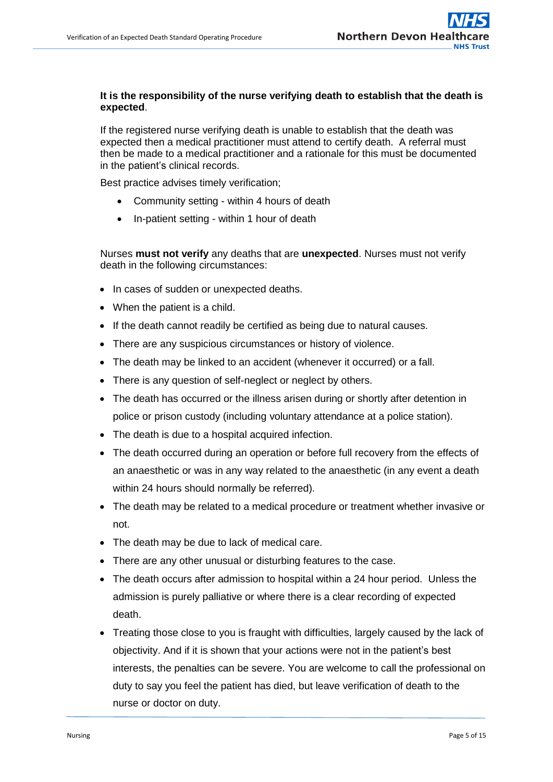#### **It is the responsibility of the nurse verifying death to establish that the death is expected**.

If the registered nurse verifying death is unable to establish that the death was expected then a medical practitioner must attend to certify death. A referral must then be made to a medical practitioner and a rationale for this must be documented in the patient's clinical records.

Best practice advises timely verification;

- Community setting within 4 hours of death
- In-patient setting within 1 hour of death

Nurses **must not verify** any deaths that are **unexpected**. Nurses must not verify death in the following circumstances:

- In cases of sudden or unexpected deaths.
- When the patient is a child.
- If the death cannot readily be certified as being due to natural causes.
- There are any suspicious circumstances or history of violence.
- The death may be linked to an accident (whenever it occurred) or a fall.
- There is any question of self-neglect or neglect by others.
- The death has occurred or the illness arisen during or shortly after detention in police or prison custody (including voluntary attendance at a police station).
- The death is due to a hospital acquired infection.
- The death occurred during an operation or before full recovery from the effects of an anaesthetic or was in any way related to the anaesthetic (in any event a death within 24 hours should normally be referred).
- The death may be related to a medical procedure or treatment whether invasive or not.
- The death may be due to lack of medical care.
- There are any other unusual or disturbing features to the case.
- The death occurs after admission to hospital within a 24 hour period. Unless the admission is purely palliative or where there is a clear recording of expected death.
- Treating those close to you is fraught with difficulties, largely caused by the lack of objectivity. And if it is shown that your actions were not in the patient's best interests, the penalties can be severe. You are welcome to call the professional on duty to say you feel the patient has died, but leave verification of death to the nurse or doctor on duty.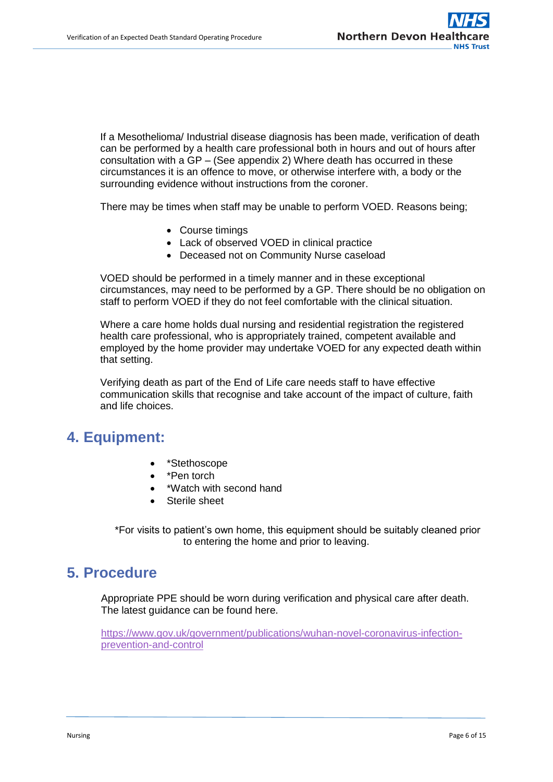If a Mesothelioma/ Industrial disease diagnosis has been made, verification of death can be performed by a health care professional both in hours and out of hours after consultation with a GP – (See appendix 2) Where death has occurred in these circumstances it is an offence to move, or otherwise interfere with, a body or the surrounding evidence without instructions from the coroner.

There may be times when staff may be unable to perform VOED. Reasons being;

- Course timings
- Lack of observed VOED in clinical practice
- Deceased not on Community Nurse caseload

VOED should be performed in a timely manner and in these exceptional circumstances, may need to be performed by a GP. There should be no obligation on staff to perform VOED if they do not feel comfortable with the clinical situation.

Where a care home holds dual nursing and residential registration the registered health care professional, who is appropriately trained, competent available and employed by the home provider may undertake VOED for any expected death within that setting.

Verifying death as part of the End of Life care needs staff to have effective communication skills that recognise and take account of the impact of culture, faith and life choices.

## <span id="page-5-0"></span>**4. Equipment:**

- \*Stethoscope
- \*Pen torch
- \*Watch with second hand
- Sterile sheet

 \*For visits to patient's own home, this equipment should be suitably cleaned prior to entering the home and prior to leaving.

## <span id="page-5-1"></span>**5. Procedure**

Appropriate PPE should be worn during verification and physical care after death. The latest guidance can be found here.

[https://www.gov.uk/government/publications/wuhan-novel-coronavirus-infection](https://www.gov.uk/government/publications/wuhan-novel-coronavirus-infection-prevention-and-control)[prevention-and-control](https://www.gov.uk/government/publications/wuhan-novel-coronavirus-infection-prevention-and-control)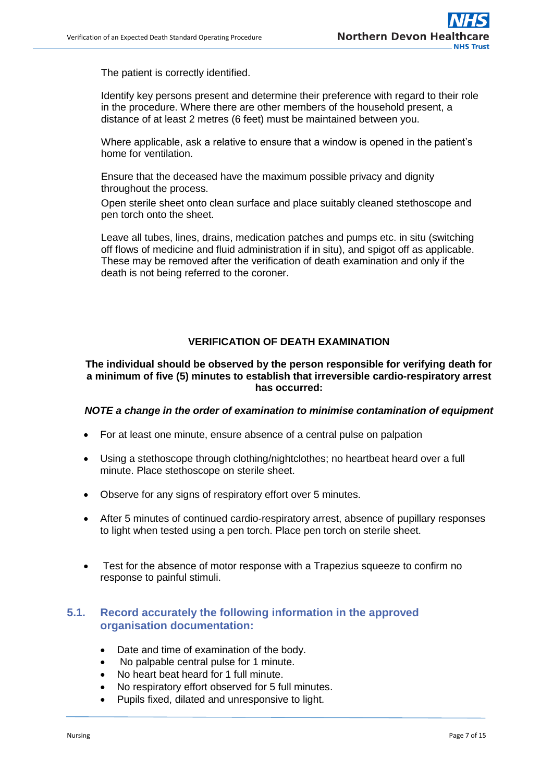The patient is correctly identified.

Identify key persons present and determine their preference with regard to their role in the procedure. Where there are other members of the household present, a distance of at least 2 metres (6 feet) must be maintained between you.

Where applicable, ask a relative to ensure that a window is opened in the patient's home for ventilation.

Ensure that the deceased have the maximum possible privacy and dignity throughout the process.

Open sterile sheet onto clean surface and place suitably cleaned stethoscope and pen torch onto the sheet.

Leave all tubes, lines, drains, medication patches and pumps etc. in situ (switching off flows of medicine and fluid administration if in situ), and spigot off as applicable. These may be removed after the verification of death examination and only if the death is not being referred to the coroner.

#### **VERIFICATION OF DEATH EXAMINATION**

#### **The individual should be observed by the person responsible for verifying death for a minimum of five (5) minutes to establish that irreversible cardio-respiratory arrest has occurred:**

#### *NOTE a change in the order of examination to minimise contamination of equipment*

- For at least one minute, ensure absence of a central pulse on palpation
- Using a stethoscope through clothing/nightclothes; no heartbeat heard over a full minute. Place stethoscope on sterile sheet.
- Observe for any signs of respiratory effort over 5 minutes.
- After 5 minutes of continued cardio-respiratory arrest, absence of pupillary responses to light when tested using a pen torch. Place pen torch on sterile sheet.
- Test for the absence of motor response with a Trapezius squeeze to confirm no response to painful stimuli.

#### **5.1. Record accurately the following information in the approved organisation documentation:**

- Date and time of examination of the body.
- No palpable central pulse for 1 minute.
- No heart beat heard for 1 full minute.
- No respiratory effort observed for 5 full minutes.
- Pupils fixed, dilated and unresponsive to light.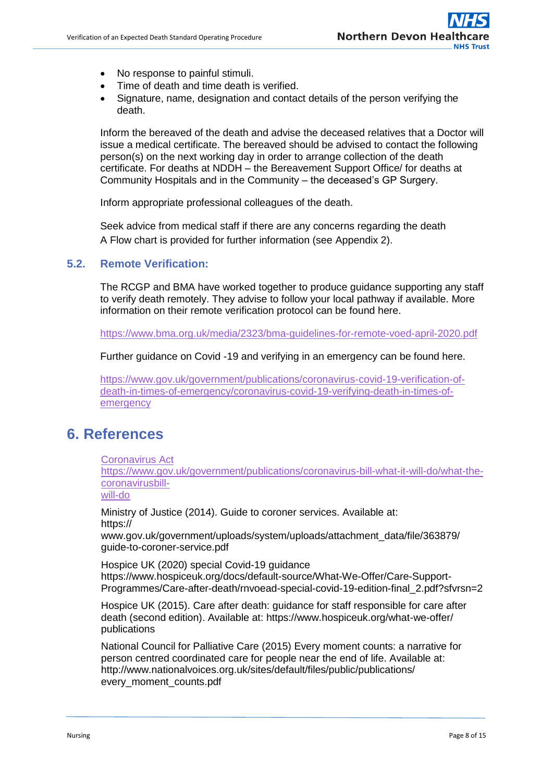- No response to painful stimuli.
- Time of death and time death is verified.
- Signature, name, designation and contact details of the person verifying the death.

Inform the bereaved of the death and advise the deceased relatives that a Doctor will issue a medical certificate. The bereaved should be advised to contact the following person(s) on the next working day in order to arrange collection of the death certificate. For deaths at NDDH – the Bereavement Support Office/ for deaths at Community Hospitals and in the Community – the deceased's GP Surgery.

Inform appropriate professional colleagues of the death.

Seek advice from medical staff if there are any concerns regarding the death A Flow chart is provided for further information (see Appendix 2).

#### **5.2. Remote Verification:**

The RCGP and BMA have worked together to produce guidance supporting any staff to verify death remotely. They advise to follow your local pathway if available. More information on their remote verification protocol can be found here.

<https://www.bma.org.uk/media/2323/bma-guidelines-for-remote-voed-april-2020.pdf>

Further guidance on Covid -19 and verifying in an emergency can be found here.

[https://www.gov.uk/government/publications/coronavirus-covid-19-verification-of](https://www.gov.uk/government/publications/coronavirus-covid-19-verification-of-death-in-times-of-emergency/coronavirus-covid-19-verifying-death-in-times-of-emergency)[death-in-times-of-emergency/coronavirus-covid-19-verifying-death-in-times-of](https://www.gov.uk/government/publications/coronavirus-covid-19-verification-of-death-in-times-of-emergency/coronavirus-covid-19-verifying-death-in-times-of-emergency)[emergency](https://www.gov.uk/government/publications/coronavirus-covid-19-verification-of-death-in-times-of-emergency/coronavirus-covid-19-verifying-death-in-times-of-emergency)

## <span id="page-7-0"></span>**6. References**

Coronavirus Act

https://www.gov.uk/government/publications/coronavirus-bill-what-it-will-do/what-thecoronavirusbill-

will-do

Ministry of Justice (2014). Guide to coroner services. Available at: https://

www.gov.uk/government/uploads/system/uploads/attachment\_data/file/363879/ guide-to-coroner-service.pdf

Hospice UK (2020) special Covid-19 guidance https://www.hospiceuk.org/docs/default-source/What-We-Offer/Care-Support-Programmes/Care-after-death/rnvoead-special-covid-19-edition-final\_2.pdf?sfvrsn=2

Hospice UK (2015). Care after death: guidance for staff responsible for care after death (second edition). Available at: https://www.hospiceuk.org/what-we-offer/ publications

National Council for Palliative Care (2015) Every moment counts: a narrative for person centred coordinated care for people near the end of life. Available at: http://www.nationalvoices.org.uk/sites/default/files/public/publications/ every\_moment\_counts.pdf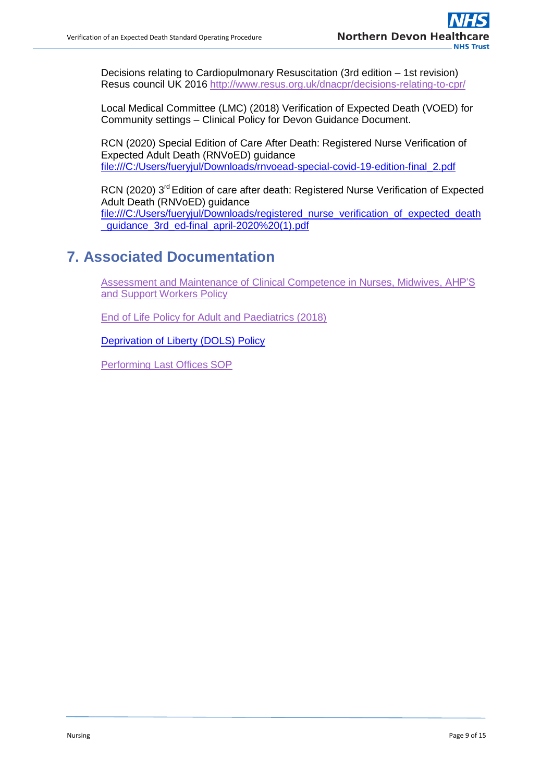Decisions relating to Cardiopulmonary Resuscitation (3rd edition – 1st revision) Resus council UK 2016<http://www.resus.org.uk/dnacpr/decisions-relating-to-cpr/>

Local Medical Committee (LMC) (2018) Verification of Expected Death (VOED) for Community settings – Clinical Policy for Devon Guidance Document.

RCN (2020) Special Edition of Care After Death: Registered Nurse Verification of Expected Adult Death (RNVoED) guidance [file:///C:/Users/fueryjul/Downloads/rnvoead-special-covid-19-edition-final\\_2.pdf](file:///C:/Users/fueryjul/Downloads/rnvoead-special-covid-19-edition-final_2.pdf)

RCN (2020) 3<sup>rd</sup> Edition of care after death: Registered Nurse Verification of Expected Adult Death (RNVoED) guidance [file:///C:/Users/fueryjul/Downloads/registered\\_nurse\\_verification\\_of\\_expected\\_death](file:///C:/Users/fueryjul/Downloads/registered_nurse_verification_of_expected_death_guidance_3rd_ed-final_april-2020%20(1).pdf) quidance 3rd ed-final april-2020%20(1).pdf

# <span id="page-8-0"></span>**7. Associated Documentation**

[Assessment and Maintenance of Clinical Competence in Nurses, Midwives, AHP'S](http://ndht.ndevon.swest.nhs.uk/policies/?p=1442) [and Support Workers Policy](http://ndht.ndevon.swest.nhs.uk/policies/?p=1442)

End of Life [Policy for Adult and Paediatrics \(2018\)](http://ndht.ndevon.swest.nhs.uk/tcs-policies/?p=259)

Deprivation of Liberty (DOLS) Policy

[Performing Last Offices SOP](http://ndht.ndevon.swest.nhs.uk/policies/?p=1442)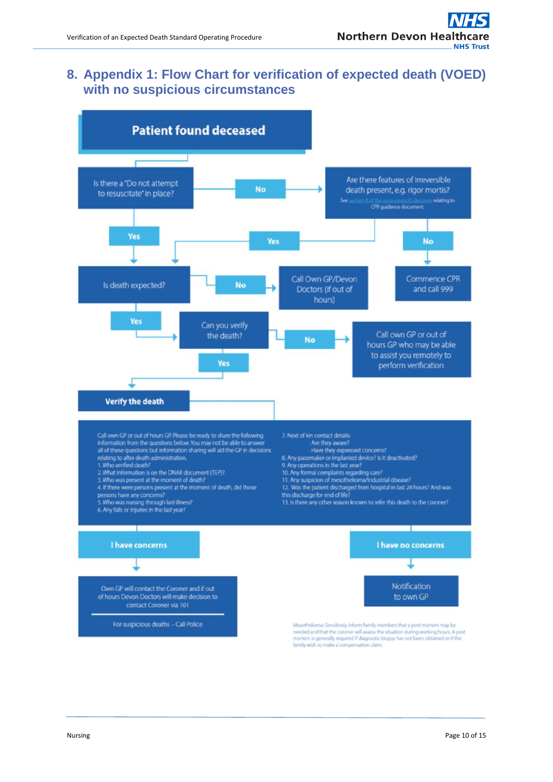## <span id="page-9-0"></span>**8. Appendix 1: Flow Chart for verification of expected death (VOED) with no suspicious circumstances**

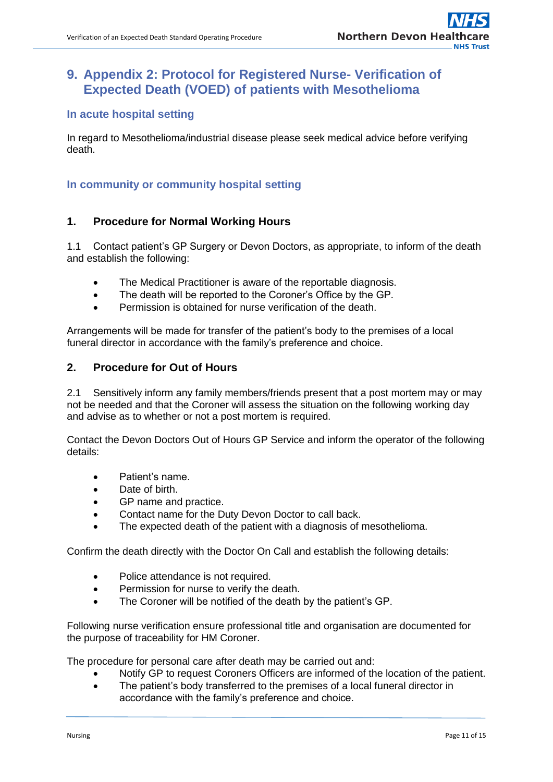## <span id="page-10-0"></span>**9. Appendix 2: Protocol for Registered Nurse- Verification of Expected Death (VOED) of patients with Mesothelioma**

#### **In acute hospital setting**

In regard to Mesothelioma/industrial disease please seek medical advice before verifying death.

#### **In community or community hospital setting**

#### **1. Procedure for Normal Working Hours**

1.1 Contact patient's GP Surgery or Devon Doctors, as appropriate, to inform of the death and establish the following:

- The Medical Practitioner is aware of the reportable diagnosis.
- The death will be reported to the Coroner's Office by the GP.
- Permission is obtained for nurse verification of the death.

Arrangements will be made for transfer of the patient's body to the premises of a local funeral director in accordance with the family's preference and choice.

#### **2. Procedure for Out of Hours**

2.1 Sensitively inform any family members/friends present that a post mortem may or may not be needed and that the Coroner will assess the situation on the following working day and advise as to whether or not a post mortem is required.

Contact the Devon Doctors Out of Hours GP Service and inform the operator of the following details:

- Patient's name.
- Date of birth.
- GP name and practice.
- Contact name for the Duty Devon Doctor to call back.
- The expected death of the patient with a diagnosis of mesothelioma.

Confirm the death directly with the Doctor On Call and establish the following details:

- Police attendance is not required.
- Permission for nurse to verify the death.
- The Coroner will be notified of the death by the patient's GP.

Following nurse verification ensure professional title and organisation are documented for the purpose of traceability for HM Coroner.

The procedure for personal care after death may be carried out and:

- Notify GP to request Coroners Officers are informed of the location of the patient.
- The patient's body transferred to the premises of a local funeral director in accordance with the family's preference and choice.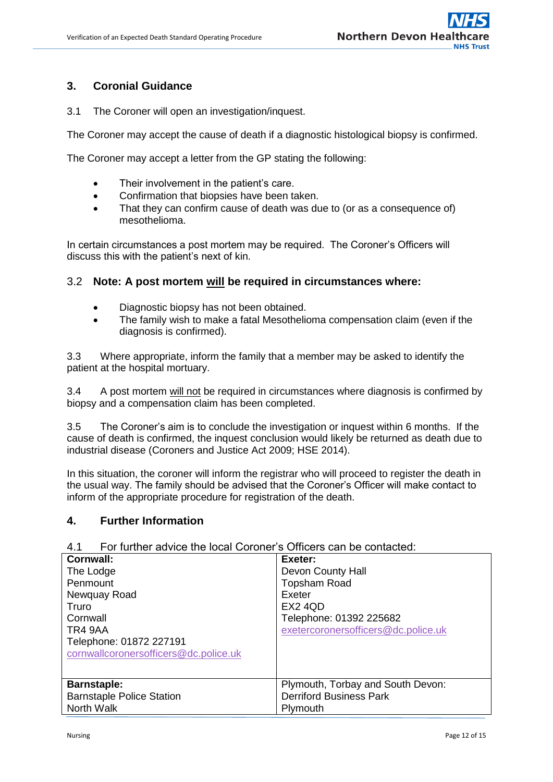#### **3. Coronial Guidance**

3.1 The Coroner will open an investigation/inquest.

The Coroner may accept the cause of death if a diagnostic histological biopsy is confirmed.

The Coroner may accept a letter from the GP stating the following:

- Their involvement in the patient's care.
- Confirmation that biopsies have been taken.
- That they can confirm cause of death was due to (or as a consequence of) mesothelioma.

In certain circumstances a post mortem may be required. The Coroner's Officers will discuss this with the patient's next of kin.

#### 3.2 **Note: A post mortem will be required in circumstances where:**

- Diagnostic biopsy has not been obtained.
- The family wish to make a fatal Mesothelioma compensation claim (even if the diagnosis is confirmed).

3.3 Where appropriate, inform the family that a member may be asked to identify the patient at the hospital mortuary.

3.4 A post mortem will not be required in circumstances where diagnosis is confirmed by biopsy and a compensation claim has been completed.

3.5 The Coroner's aim is to conclude the investigation or inquest within 6 months. If the cause of death is confirmed, the inquest conclusion would likely be returned as death due to industrial disease (Coroners and Justice Act 2009; HSE 2014).

In this situation, the coroner will inform the registrar who will proceed to register the death in the usual way. The family should be advised that the Coroner's Officer will make contact to inform of the appropriate procedure for registration of the death.

#### **4. Further Information**

#### 4.1 For further advice the local Coroner's Officers can be contacted:

| Cornwall:                             | Exeter:                             |
|---------------------------------------|-------------------------------------|
| The Lodge                             | Devon County Hall                   |
| Penmount                              | <b>Topsham Road</b>                 |
| Newquay Road                          | Exeter                              |
| Truro                                 | EX2 4QD                             |
| Cornwall                              | Telephone: 01392 225682             |
| TR4 9AA                               | exetercoronersofficers@dc.police.uk |
| Telephone: 01872 227191               |                                     |
| cornwallcoronersofficers@dc.police.uk |                                     |
|                                       |                                     |
| <b>Barnstaple:</b>                    | Plymouth, Torbay and South Devon:   |
| <b>Barnstaple Police Station</b>      | <b>Derriford Business Park</b>      |
| North Walk                            | Plymouth                            |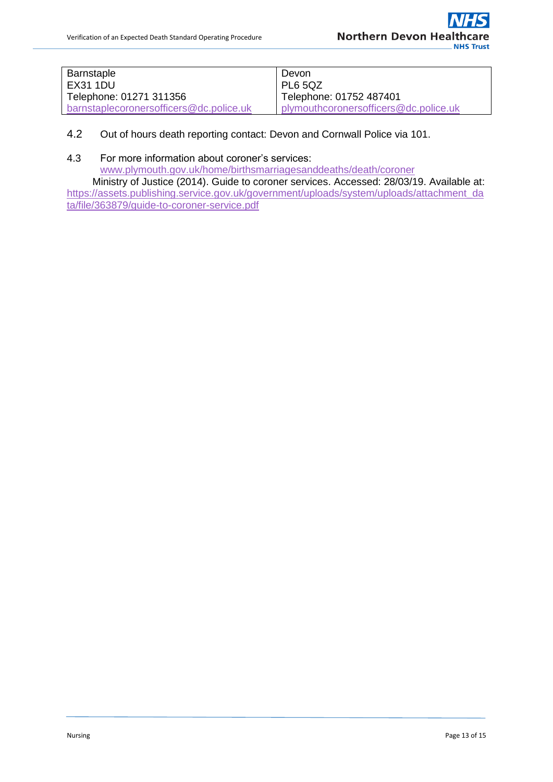| <b>Barnstaple</b>                       | Devon                                 |
|-----------------------------------------|---------------------------------------|
| EX31 1DU                                | PL6 5QZ                               |
| Telephone: 01271 311356                 | Telephone: 01752 487401               |
| barnstaplecoronersofficers@dc.police.uk | plymouthcoronersofficers@dc.police.uk |

- 4.2 Out of hours death reporting contact: Devon and Cornwall Police via 101.
- 4.3 For more information about coroner's services:

[www.plymouth.gov.uk/home/birthsmarriagesanddeaths/death/coroner](http://www.plymouth.gov.uk/home/birthsmarriagesanddeaths/death/coroner)

 Ministry of Justice (2014). Guide to coroner services. Accessed: 28/03/19. Available at: [https://assets.publishing.service.gov.uk/government/uploads/system/uploads/attachment\\_da](https://assets.publishing.service.gov.uk/government/uploads/system/uploads/attachment_data/file/363879/guide-to-coroner-service.pdf) [ta/file/363879/guide-to-coroner-service.pdf](https://assets.publishing.service.gov.uk/government/uploads/system/uploads/attachment_data/file/363879/guide-to-coroner-service.pdf)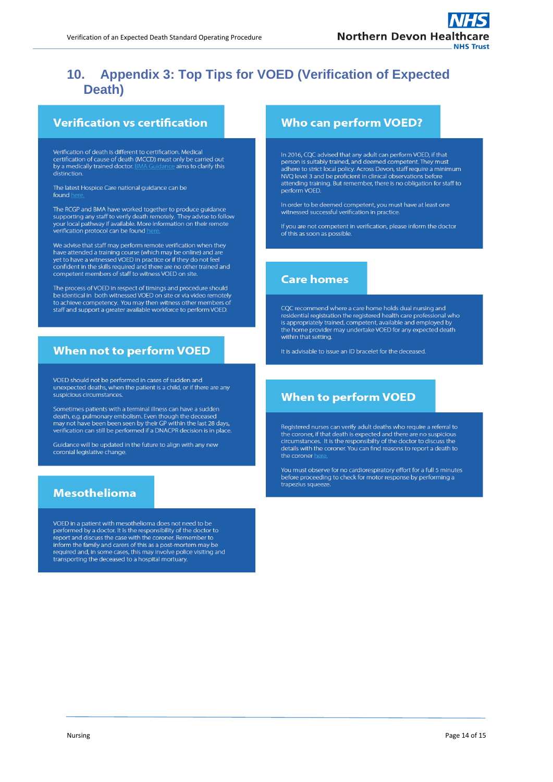## <span id="page-13-0"></span>**10. Appendix 3: Top Tips for VOED (Verification of Expected Death)**

### **Verification vs certification**

Verification of death is different to certification. Medical certification of cause of death (MCCD) must only be carried out by a medically trained doctor.  $\geq$  aims to clarify this distinction

The latest Hospice Care national guidance can be found h

The RCGP and BMA have worked together to produce guidance supporting any staff to verify death remotely. They advise to follow your local pathway if available. More information on their remote verification protocol can be found

We advise that staff may perform remote verification when they have attended a training course (which may be online) and are yet to have a witnessed VOED in practice or if they do not feel<br>confident in the skills required and there are no other trained and competent members of staff to witness VOED on site

The process of VOED in respect of timings and procedure should be identical in both witnessed VOED on site or via video remotely to achieve competency. You may then witness other members of<br>staff and support a greater available workforce to perform VOED.

#### **When not to perform VOED**

VOED should not be performed in cases of sudden and unexpected deaths, when the patient is a child, or if there are any suspicious circumstances

Sometimes patients with a terminal illness can have a sudden death, e.g. pulmonary embolism. Even though the deceased<br>may not have been been seen by their GP within the last 28 days, verification can still be performed if a DNACPR decision is in place.

Guidance will be updated in the future to align with any new<br>coronial legislative change.

#### **Mesothelioma**

VOED in a patient with mesothelioma does not need to be performed by a doctor. It is the responsibility of the doctor to<br>report and discuss the case with the coroner. Remember to inform the family and carers of this as a post-mortem may be required and, in some cases, this may involve police visiting and transporting the deceased to a hospital mortuary.

#### **Who can perform VOED?**

In 2016, CQC advised that any adult can perform VOED, if that person is suitably trained, and deemed competent. They must adhere to strict local policy. Across Devon, staff require a minimum NVQ level 3 and be proficient in clinical observations before attending training. But remember, there is no obligation for staff to perform VOED.

In order to be deemed competent, you must have at least one witnessed successful verification in practice.

If you are not competent in verification, please inform the doctor of this as soon as possible.

#### **Care homes**

COC recommend where a care home holds dual nursing and residential registration the registered health care professional who is appropriately trained, competent, available and employed by the home provider may undertake VOED for any expected death within that setting.

It is advisable to issue an ID bracelet for the deceased.

#### **When to perform VOED**

Registered nurses can verify adult deaths who require a referral to the coroner, if that death is expected and there are no suspicious<br>circumstances. It is the responsibilty of the doctor to discuss the details with the coroner. You can find reasons to report a death to the coroner

You must observe for no cardiorespiratory effort for a full 5 minutes before proceeding to check for motor response by performing a trapezius squeeze